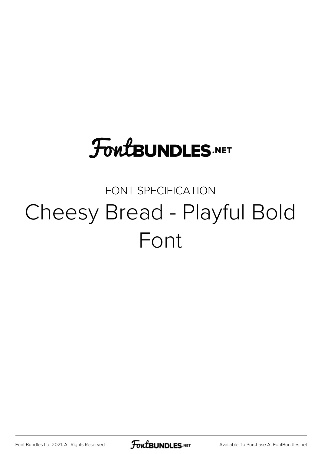# **FoutBUNDLES.NET**

### FONT SPECIFICATION Cheesy Bread - Playful Bold Font

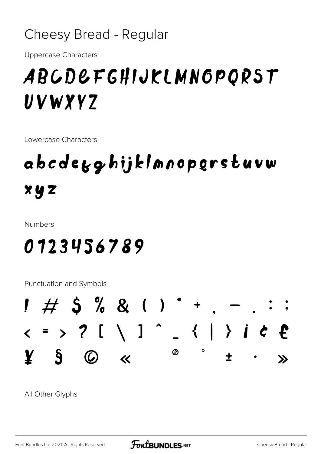#### Cheesy Bread - Regular

**Uppercase Characters** 

## ABCDEFGHIJKLMNGPORST UVWYYZ

Lowercase Characters

# abcdegghijklmnopgrstuvw  $x y z$

**Numbers** 

### 0123456789

Punctuation and Symbols



All Other Glyphs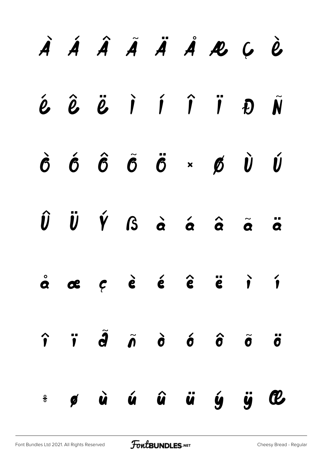|  |  |  | À Á Â Ã Ä Ä Å R Ų Ù                                                                                                                                                        |  |
|--|--|--|----------------------------------------------------------------------------------------------------------------------------------------------------------------------------|--|
|  |  |  | $\acute{\textbf{e}}$ $\hat{\textbf{e}}$ $\ddot{\textbf{e}}$ $\dot{\textbf{i}}$ $\acute{\textbf{i}}$ $\ddot{\textbf{i}}$ $\ddot{\textbf{i}}$ $\ddot{\textbf{v}}$            |  |
|  |  |  | $\begin{array}{ccccccccccccc}\n\hat{G} & \hat{G} & \hat{G} & \hat{G} & \hat{G} & \times & \hat{G} & \hat{U} & \hat{U}\n\end{array}$                                        |  |
|  |  |  | $\hat{U}$ $\ddot{U}$ $\acute{Y}$ $\acute{S}$ $\dot{\acute{a}}$ $\acute{a}$ $\hat{\acute{a}}$ $\ddot{\acute{a}}$ $\ddot{\acute{a}}$ $\ddot{\acute{a}}$                      |  |
|  |  |  | $\dot{a}$ $\alpha$ $c$ $\dot{e}$ $\dot{e}$ $\dot{e}$ $\ddot{e}$ $\ddot{e}$ $\ddot{r}$                                                                                      |  |
|  |  |  | $\hat{\mathbf{r}}$ $\hat{\mathbf{r}}$ $\hat{\mathbf{d}}$ $\hat{\mathbf{o}}$ $\hat{\mathbf{o}}$ $\hat{\mathbf{o}}$ $\hat{\mathbf{o}}$ $\hat{\mathbf{o}}$ $\hat{\mathbf{o}}$ |  |
|  |  |  | ÷ ø ù ú û ü ý ÿ C                                                                                                                                                          |  |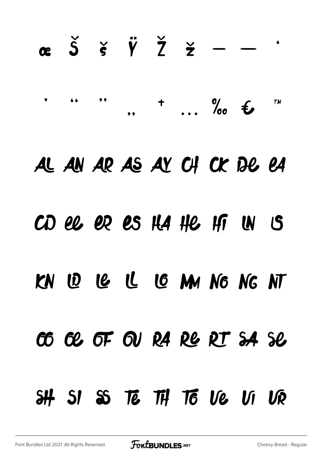# $\alpha$   $\beta$   $\beta$   $\gamma$   $\gamma$   $\gamma$   $\gamma$   $\sim$  $\bullet$  $\overline{z}$   $\frac{\partial}{\partial x}$   $\overline{z}$ **TM** AL AN AR AS AY CH CK DE EA CD el er es HA He Hi IN IS KN 10 12 12 13 MM NG NG NT CO CE OF OU RA RE RT SA SE SI SS TE TH TO VE VI VR  $\mathbf{H}$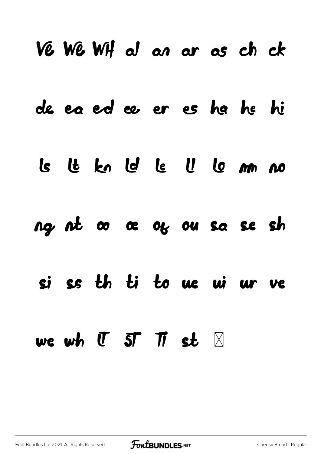|           | Ve We WH al an ar as ch ck                                |  |                |  |  |
|-----------|-----------------------------------------------------------|--|----------------|--|--|
|           | de ea ed ee er es ha he hi                                |  |                |  |  |
|           | Is It kn Is Is II Is m no                                 |  |                |  |  |
|           | ng nt oo oe og ou sa se sh                                |  |                |  |  |
| <b>Sj</b> | ss th ti to ue ui ur ve                                   |  |                |  |  |
|           | we wh $\mathbf{U}$ $\mathbf{S}$ $\mathbf{T}$ $\mathbf{T}$ |  | st $\boxtimes$ |  |  |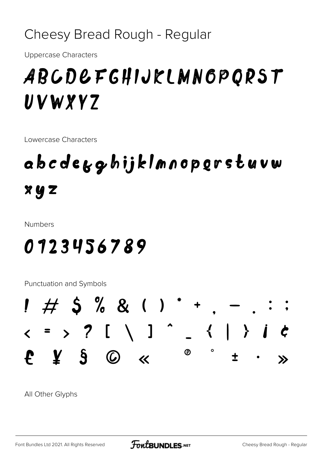Cheesy Bread Rough - Regular

**Uppercase Characters** 

## ABCDEFGHIJKLMNGPORST UVWYYZ

Lowercase Characters

# abcdegghijklmnopgrstuvw XYZ

**Numbers** 

### 0123456789

Punctuation and Symbols



All Other Glyphs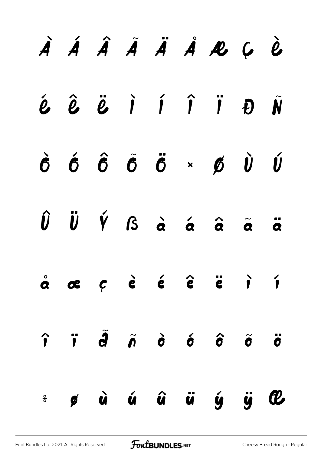|  |  |  | À Á Â Ã Ä Ä Å R Ų Ù                                                                                                                                                        |  |
|--|--|--|----------------------------------------------------------------------------------------------------------------------------------------------------------------------------|--|
|  |  |  | $\acute{\textbf{e}}$ $\hat{\textbf{e}}$ $\ddot{\textbf{e}}$ $\dot{\textbf{i}}$ $\acute{\textbf{i}}$ $\ddot{\textbf{i}}$ $\ddot{\textbf{v}}$ $\ddot{\textbf{v}}$            |  |
|  |  |  | $\dot{\hat{\sigma}}\quad \hat{\sigma}\quad \hat{\sigma}\quad \tilde{\sigma}\quad \tilde{\sigma}\quad \star\quad \tilde{\sigma}\quad \hat{\upsilon}\quad \hat{\upsilon}$    |  |
|  |  |  | $\hat{U}$ $\ddot{U}$ $\acute{Y}$ $\acute{S}$ $\dot{\acute{a}}$ $\acute{a}$ $\hat{\acute{a}}$ $\ddot{\acute{a}}$ $\ddot{\acute{a}}$ $\ddot{\acute{a}}$                      |  |
|  |  |  | $\dot{\alpha}$ $\alpha$ $\dot{\beta}$ $\dot{\epsilon}$ $\dot{\epsilon}$ $\ddot{\epsilon}$ $\ddot{\epsilon}$ $\ddot{\epsilon}$ $\ddot{\epsilon}$ $\ddot{\epsilon}$          |  |
|  |  |  | $\hat{\mathbf{r}}$ $\hat{\mathbf{r}}$ $\hat{\mathbf{d}}$ $\hat{\mathbf{o}}$ $\hat{\mathbf{o}}$ $\hat{\mathbf{o}}$ $\hat{\mathbf{o}}$ $\hat{\mathbf{o}}$ $\hat{\mathbf{o}}$ |  |
|  |  |  | ÷ ø ù ú û ü ý ÿ C                                                                                                                                                          |  |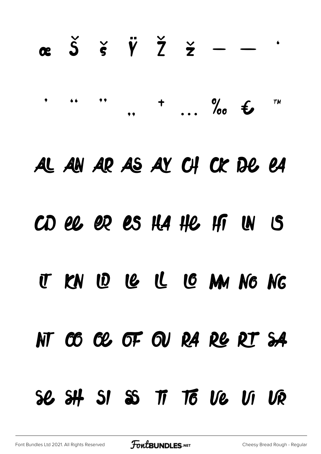# $\alpha$   $\beta$   $\beta$   $\gamma$   $\gamma$   $\gamma$   $\gamma$   $\sim$  $+$  0%  $\epsilon$  $\bullet$ **TM**  $, ,$ AL AN AR AS AY CH CK DE EA CD ee er es HA He Hi IN IS U KN W C C C MM NG NG NT CO CE OF OU RA RE RT SA Se SH SI SS TT TO Ve VI VR